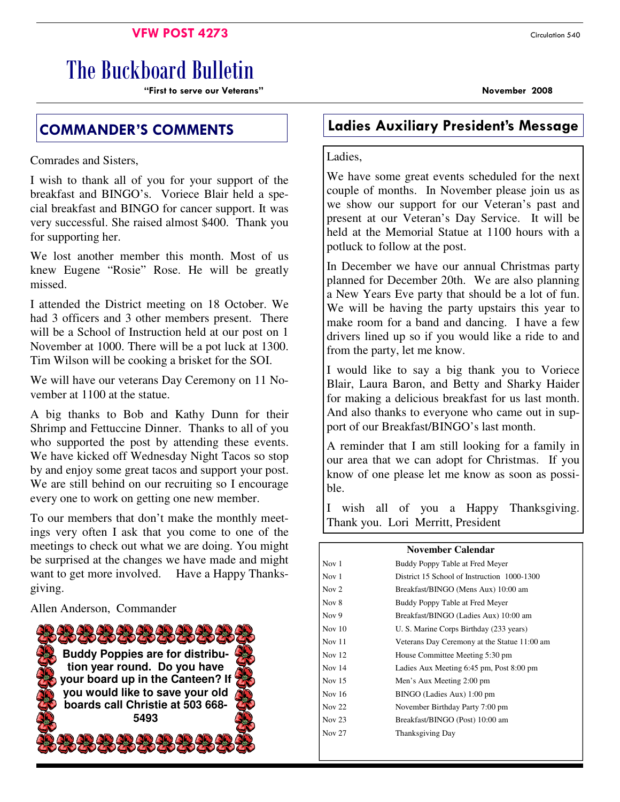### **VFW POST 4273** Circulation 540

# The Buckboard Bulletin

"First to serve our Veterans" November 2008

Comrades and Sisters,

I wish to thank all of you for your support of the breakfast and BINGO's. Voriece Blair held a special breakfast and BINGO for cancer support. It was very successful. She raised almost \$400. Thank you for supporting her.

We lost another member this month. Most of us knew Eugene "Rosie" Rose. He will be greatly missed.

I attended the District meeting on 18 October. We had 3 officers and 3 other members present. There will be a School of Instruction held at our post on 1 November at 1000. There will be a pot luck at 1300. Tim Wilson will be cooking a brisket for the SOI.

We will have our veterans Day Ceremony on 11 November at 1100 at the statue.

A big thanks to Bob and Kathy Dunn for their Shrimp and Fettuccine Dinner. Thanks to all of you who supported the post by attending these events. We have kicked off Wednesday Night Tacos so stop by and enjoy some great tacos and support your post. We are still behind on our recruiting so I encourage every one to work on getting one new member.

To our members that don't make the monthly meetings very often I ask that you come to one of the meetings to check out what we are doing. You might be surprised at the changes we have made and might want to get more involved. Have a Happy Thanksgiving.

Allen Anderson, Commander



# COMMANDER'S COMMENTS Ladies Auxiliary President's Message

### Ladies,

We have some great events scheduled for the next couple of months. In November please join us as we show our support for our Veteran's past and present at our Veteran's Day Service. It will be held at the Memorial Statue at 1100 hours with a potluck to follow at the post.

In December we have our annual Christmas party planned for December 20th. We are also planning a New Years Eve party that should be a lot of fun. We will be having the party upstairs this year to make room for a band and dancing. I have a few drivers lined up so if you would like a ride to and from the party, let me know.

I would like to say a big thank you to Voriece Blair, Laura Baron, and Betty and Sharky Haider for making a delicious breakfast for us last month. And also thanks to everyone who came out in support of our Breakfast/BINGO's last month.

A reminder that I am still looking for a family in our area that we can adopt for Christmas. If you know of one please let me know as soon as possible.

I wish all of you a Happy Thanksgiving. Thank you. Lori Merritt, President

### **November Calendar**

| Nov $1$       | Buddy Poppy Table at Fred Meyer              |  |  |
|---------------|----------------------------------------------|--|--|
| Nov $1$       | District 15 School of Instruction 1000-1300  |  |  |
| Nov 2         | Breakfast/BINGO (Mens Aux) 10:00 am          |  |  |
| Nov 8         | Buddy Poppy Table at Fred Meyer              |  |  |
| Nov 9         | Breakfast/BINGO (Ladies Aux) 10:00 am        |  |  |
| Nov $10$      | U. S. Marine Corps Birthday (233 years)      |  |  |
| Nov $11$      | Veterans Day Ceremony at the Statue 11:00 am |  |  |
| Nov $12$      | House Committee Meeting 5:30 pm              |  |  |
| Nov 14        | Ladies Aux Meeting 6:45 pm, Post 8:00 pm     |  |  |
| Nov $15$      | Men's Aux Meeting 2:00 pm                    |  |  |
| Nov $16$      | BINGO (Ladies Aux) 1:00 pm                   |  |  |
| Nov $22$      | November Birthday Party 7:00 pm              |  |  |
| Nov $23$      | Breakfast/BINGO (Post) 10:00 am              |  |  |
| <b>Nov 27</b> | Thanksgiving Day                             |  |  |
|               |                                              |  |  |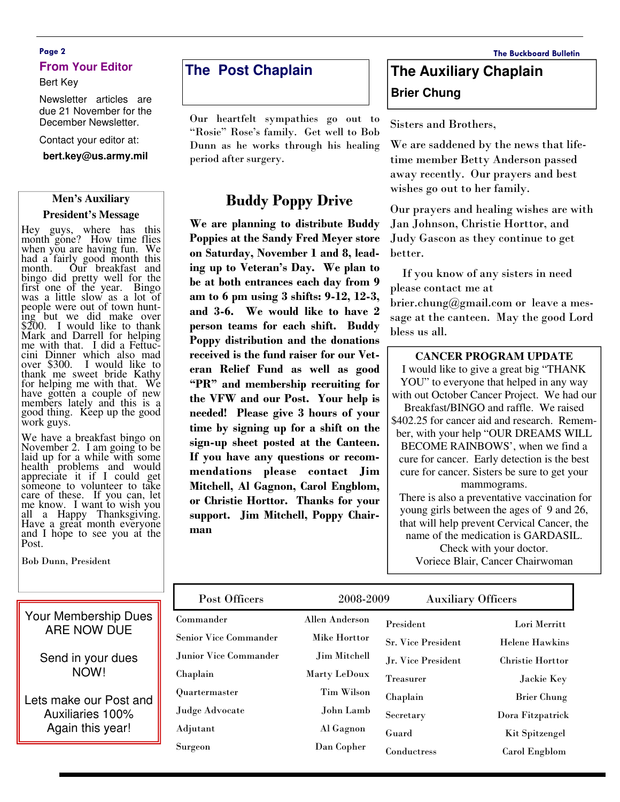### Page 2 The Buckboard Bulletin **From Your Editor**

#### Bert Key

Newsletter articles are due 21 November for the December Newsletter.

#### Contact your editor at:

**bert.key@us.army.mil** 

### **Men's Auxiliary President's Message**

Hey guys, where has this month gone? How time flies when you are having fun. We had a fairly good month this<br>month. Our breakfast and Our breakfast and bingo did pretty well for the first one of the year. Bingo was a little slow as a lot of people were out of town hunting but we did make over \$200. I would like to thank Mark and Darrell for helping me with that. I did a Fettuccini Dinner which also mad over \$300. I would like to thank me sweet bride Kathy for helping me with that. We have gotten a couple of new members lately and this is a good thing. Keep up the good work guys.

We have a breakfast bingo on November 2. I am going to be laid up for a while with some health problems and would appreciate it if I could get someone to volunteer to take care of these. If you can, let me know. I want to wish you all a Happy Thanksgiving. Have a great month everyone and I hope to see you at the Post.

Bob Dunn, President

### **The Post Chaplain**

Our heartfelt sympathies go out to "Rosie" Rose's family. Get well to Bob Dunn as he works through his healing period after surgery.

### Buddy Poppy Drive

We are planning to distribute Buddy Poppies at the Sandy Fred Meyer store on Saturday, November 1 and 8, leading up to Veteran's Day. We plan to be at both entrances each day from 9 am to 6 pm using 3 shifts: 9-12, 12-3, and 3-6. We would like to have 2 person teams for each shift. Buddy Poppy distribution and the donations received is the fund raiser for our Veteran Relief Fund as well as good "PR" and membership recruiting for the VFW and our Post. Your help is needed! Please give 3 hours of your time by signing up for a shift on the sign-up sheet posted at the Canteen. If you have any questions or recommendations please contact Jim Mitchell, Al Gagnon, Carol Engblom, or Christie Horttor. Thanks for your support. Jim Mitchell, Poppy Chairman

## **The Auxiliary Chaplain Brier Chung**

Sisters and Brothers,

We are saddened by the news that lifetime member Betty Anderson passed away recently. Our prayers and best wishes go out to her family.

Our prayers and healing wishes are with Jan Johnson, Christie Horttor, and Judy Gascon as they continue to get better.

 If you know of any sisters in need please contact me at brier.chung@gmail.com or leave a message at the canteen. May the good Lord bless us all.

#### **CANCER PROGRAM UPDATE**

I would like to give a great big "THANK YOU" to everyone that helped in any way with out October Cancer Project. We had our Breakfast/BINGO and raffle. We raised \$402.25 for cancer aid and research. Remember, with your help "OUR DREAMS WILL BECOME RAINBOWS', when we find a cure for cancer. Early detection is the best cure for cancer. Sisters be sure to get your mammograms. There is also a preventative vaccination for young girls between the ages of 9 and 26, that will help prevent Cervical Cancer, the name of the medication is GARDASIL. Check with your doctor.

Voriece Blair, Cancer Chairwoman

| Post Officers                | 2008-2009         |                           | <b>Auxiliary Officers</b> |  |
|------------------------------|-------------------|---------------------------|---------------------------|--|
| Commander                    | Allen Anderson    | President                 | Lori Merritt              |  |
| <b>Senior Vice Commander</b> | Mike Horttor      | <b>Sr. Vice President</b> | <b>Helene Hawkins</b>     |  |
| Junior Vice Commander        | Jim Mitchell      | Jr. Vice President        | <b>Christie Horttor</b>   |  |
| Chaplain                     | Marty LeDoux      | <b>Treasurer</b>          | Jackie Key                |  |
| Quartermaster                | <b>Tim Wilson</b> | Chaplain                  | Brier Chung               |  |
| Judge Advocate               | John Lamb         | Secretary                 | Dora Fitzpatrick          |  |
| Adjutant                     | Al Gagnon         | Guard                     | <b>Kit Spitzengel</b>     |  |
| Surgeon                      | Dan Copher        | Conductress               | Carol Engblom             |  |

Your Membership Dues ARE NOW DUE

> Send in your dues NOW!

Lets make our Post and Auxiliaries 100% Again this year!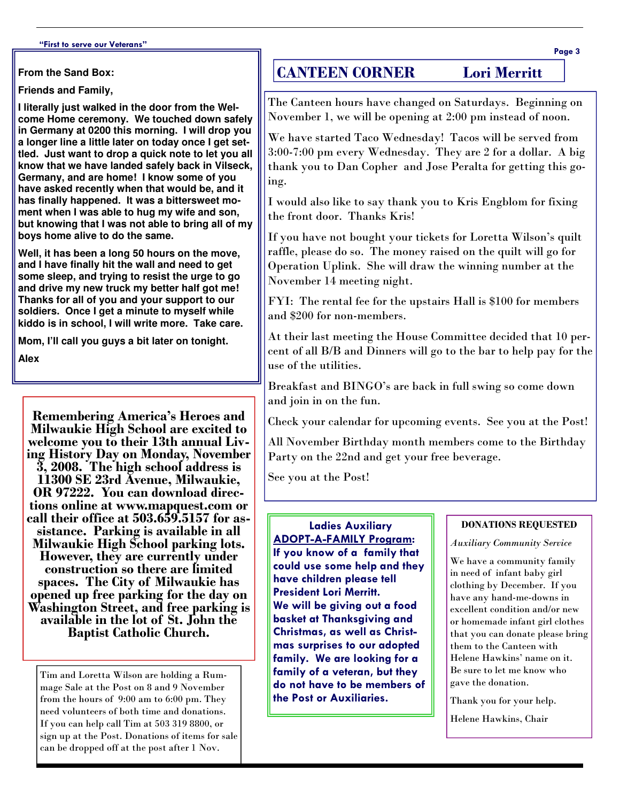**From the Sand Box:** 

**Friends and Family,** 

**I literally just walked in the door from the Welcome Home ceremony. We touched down safely in Germany at 0200 this morning. I will drop you a longer line a little later on today once I get settled. Just want to drop a quick note to let you all know that we have landed safely back in Vilseck, Germany, and are home! I know some of you have asked recently when that would be, and it has finally happened. It was a bittersweet moment when I was able to hug my wife and son, but knowing that I was not able to bring all of my boys home alive to do the same.** 

**Well, it has been a long 50 hours on the move, and I have finally hit the wall and need to get some sleep, and trying to resist the urge to go and drive my new truck my better half got me! Thanks for all of you and your support to our soldiers. Once I get a minute to myself while kiddo is in school, I will write more. Take care.** 

**Mom, I'll call you guys a bit later on tonight.** 

**Alex**

Remembering America's Heroes and Milwaukie High School are excited to welcome you to their 13th annual Living History Day on Monday, November 3, 2008. The high school address is 11300 SE 23rd Avenue, Milwaukie, OR 97222. You can download directions online at www.mapquest.com or call their office at 503.659.5157 for assistance. Parking is available in all Milwaukie High School parking lots. However, they are currently under construction so there are limited spaces. The City of Milwaukie has opened up free parking for the day on Washington Street, and free parking is available in the lot of St. John the Baptist Catholic Church.

Tim and Loretta Wilson are holding a Rummage Sale at the Post on 8 and 9 November from the hours of 9:00 am to 6:00 pm. They need volunteers of both time and donations. If you can help call Tim at 503 319 8800, or sign up at the Post. Donations of items for sale can be dropped off at the post after 1 Nov.

### CANTEEN CORNER Lori Merritt

The Canteen hours have changed on Saturdays. Beginning on November 1, we will be opening at 2:00 pm instead of noon.

We have started Taco Wednesday! Tacos will be served from 3:00-7:00 pm every Wednesday. They are 2 for a dollar. A big thank you to Dan Copher and Jose Peralta for getting this going.

I would also like to say thank you to Kris Engblom for fixing the front door. Thanks Kris!

If you have not bought your tickets for Loretta Wilson's quilt raffle, please do so. The money raised on the quilt will go for Operation Uplink. She will draw the winning number at the November 14 meeting night.

FYI: The rental fee for the upstairs Hall is \$100 for members and \$200 for non-members.

At their last meeting the House Committee decided that 10 percent of all B/B and Dinners will go to the bar to help pay for the use of the utilities.

Breakfast and BINGO's are back in full swing so come down and join in on the fun.

Check your calendar for upcoming events. See you at the Post!

All November Birthday month members come to the Birthday Party on the 22nd and get your free beverage.

See you at the Post!

### Ladies Auxiliary ADOPT-A-FAMILY Program: If you know of a family that could use some help and they have children please tell President Lori Merritt. We will be giving out a food basket at Thanksgiving and Christmas, as well as Christmas surprises to our adopted family. We are looking for a family of a veteran, but they do not have to be members of the Post or Auxiliaries.

#### DONATIONS REQUESTED

### Auxiliary Community Service

We have a community family in need of infant baby girl clothing by December. If you have any hand-me-downs in excellent condition and/or new or homemade infant girl clothes that you can donate please bring them to the Canteen with Helene Hawkins' name on it. Be sure to let me know who gave the donation.

Thank you for your help.

Helene Hawkins, Chair